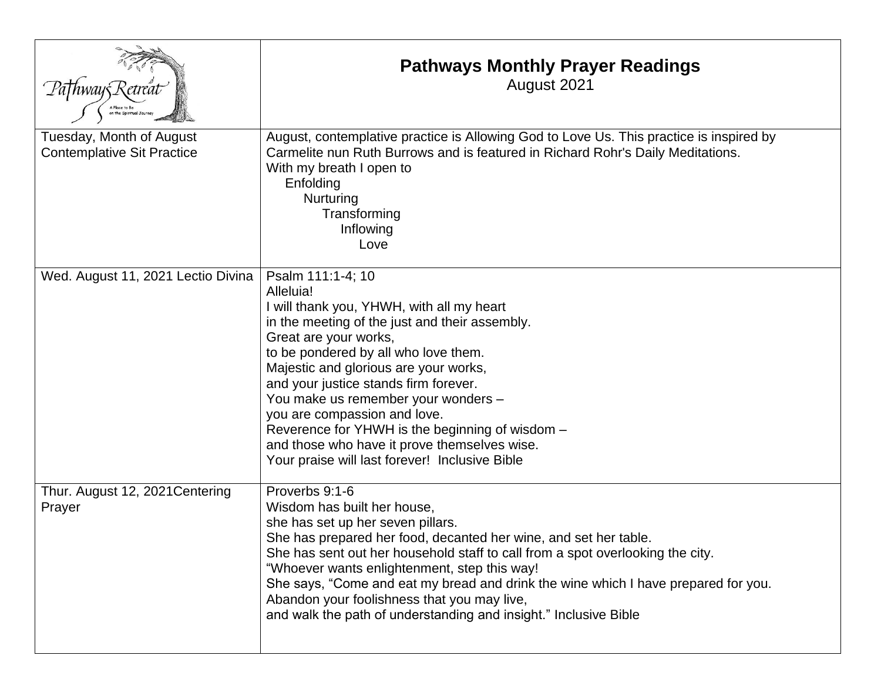|                                                               | <b>Pathways Monthly Prayer Readings</b><br>August 2021                                                                                                                                                                                                                                                                                                                                                                                                                                                       |
|---------------------------------------------------------------|--------------------------------------------------------------------------------------------------------------------------------------------------------------------------------------------------------------------------------------------------------------------------------------------------------------------------------------------------------------------------------------------------------------------------------------------------------------------------------------------------------------|
| Tuesday, Month of August<br><b>Contemplative Sit Practice</b> | August, contemplative practice is Allowing God to Love Us. This practice is inspired by<br>Carmelite nun Ruth Burrows and is featured in Richard Rohr's Daily Meditations.<br>With my breath I open to<br>Enfolding<br>Nurturing<br>Transforming<br>Inflowing<br>Love                                                                                                                                                                                                                                        |
| Wed. August 11, 2021 Lectio Divina                            | Psalm 111:1-4; 10<br>Alleluia!<br>I will thank you, YHWH, with all my heart<br>in the meeting of the just and their assembly.<br>Great are your works,<br>to be pondered by all who love them.<br>Majestic and glorious are your works,<br>and your justice stands firm forever.<br>You make us remember your wonders -<br>you are compassion and love.<br>Reverence for YHWH is the beginning of wisdom -<br>and those who have it prove themselves wise.<br>Your praise will last forever! Inclusive Bible |
| Thur. August 12, 2021 Centering<br>Prayer                     | Proverbs 9:1-6<br>Wisdom has built her house,<br>she has set up her seven pillars.<br>She has prepared her food, decanted her wine, and set her table.<br>She has sent out her household staff to call from a spot overlooking the city.<br>"Whoever wants enlightenment, step this way!<br>She says, "Come and eat my bread and drink the wine which I have prepared for you.<br>Abandon your foolishness that you may live,<br>and walk the path of understanding and insight." Inclusive Bible            |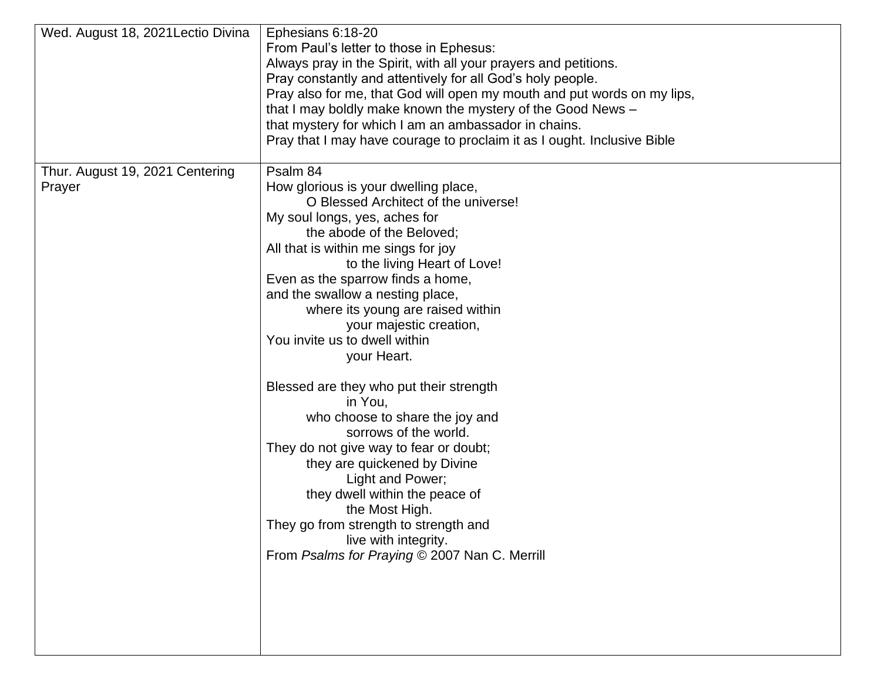| Wed. August 18, 2021 Lectio Divina        | Ephesians 6:18-20<br>From Paul's letter to those in Ephesus:<br>Always pray in the Spirit, with all your prayers and petitions.<br>Pray constantly and attentively for all God's holy people.<br>Pray also for me, that God will open my mouth and put words on my lips,<br>that I may boldly make known the mystery of the Good News -<br>that mystery for which I am an ambassador in chains.                                                                                                                                                                                                                                                                                                                                                                                                              |
|-------------------------------------------|--------------------------------------------------------------------------------------------------------------------------------------------------------------------------------------------------------------------------------------------------------------------------------------------------------------------------------------------------------------------------------------------------------------------------------------------------------------------------------------------------------------------------------------------------------------------------------------------------------------------------------------------------------------------------------------------------------------------------------------------------------------------------------------------------------------|
|                                           | Pray that I may have courage to proclaim it as I ought. Inclusive Bible                                                                                                                                                                                                                                                                                                                                                                                                                                                                                                                                                                                                                                                                                                                                      |
| Thur. August 19, 2021 Centering<br>Prayer | Psalm 84<br>How glorious is your dwelling place,<br>O Blessed Architect of the universe!<br>My soul longs, yes, aches for<br>the abode of the Beloved;<br>All that is within me sings for joy<br>to the living Heart of Love!<br>Even as the sparrow finds a home,<br>and the swallow a nesting place,<br>where its young are raised within<br>your majestic creation,<br>You invite us to dwell within<br>your Heart.<br>Blessed are they who put their strength<br>in You,<br>who choose to share the joy and<br>sorrows of the world.<br>They do not give way to fear or doubt;<br>they are quickened by Divine<br>Light and Power;<br>they dwell within the peace of<br>the Most High.<br>They go from strength to strength and<br>live with integrity.<br>From Psalms for Praying © 2007 Nan C. Merrill |